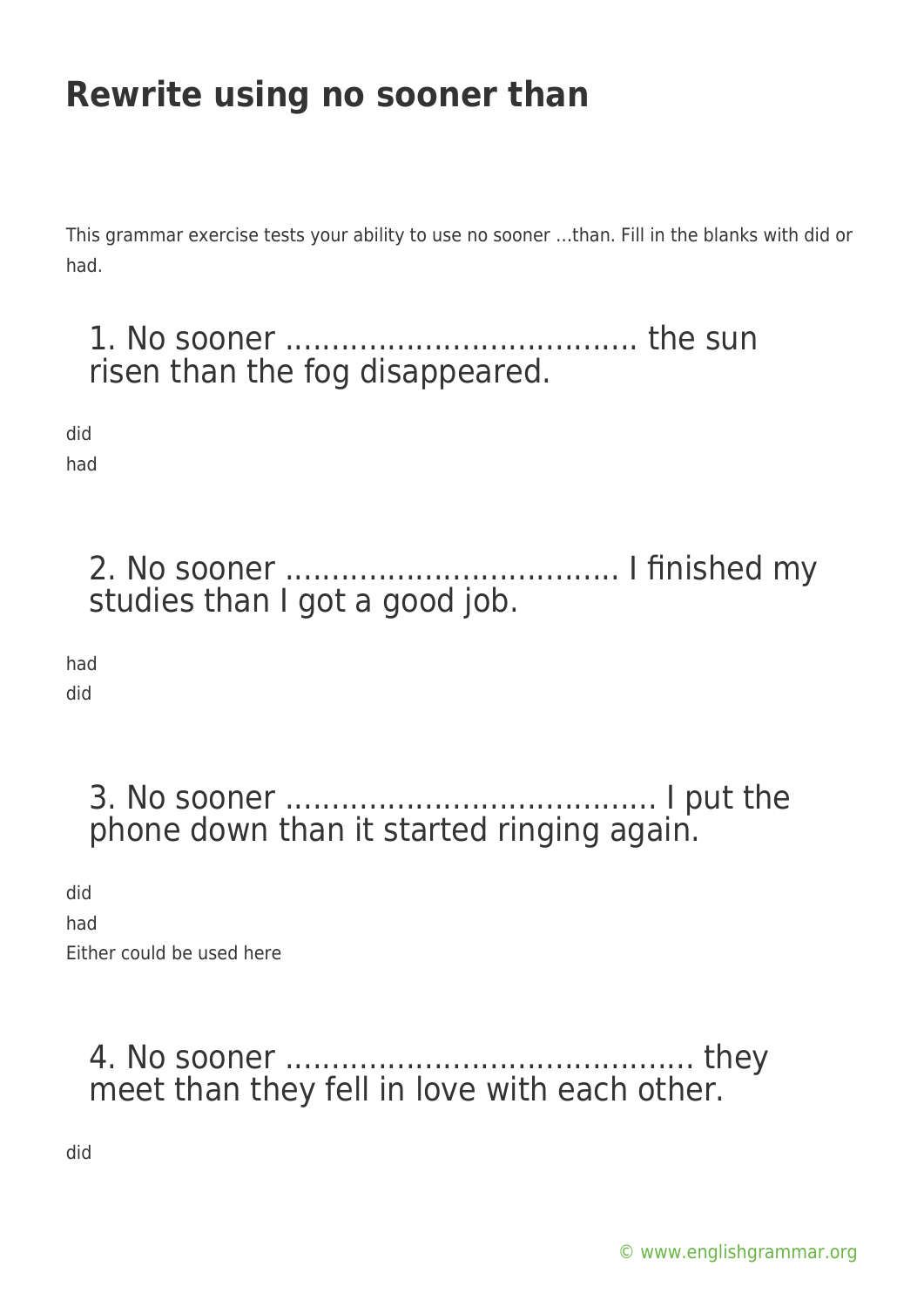# **Rewrite using no sooner than**

This grammar exercise tests your ability to use no sooner …than. Fill in the blanks with did or had.

#### 1. No sooner ...................................... the sun risen than the fog disappeared.

did

had

2. No sooner .................................... I finished my studies than I got a good job.

had did

> 3. No sooner ........................................ I put the phone down than it started ringing again.

did had Either could be used here

#### 4. No sooner ............................................ they meet than they fell in love with each other.

did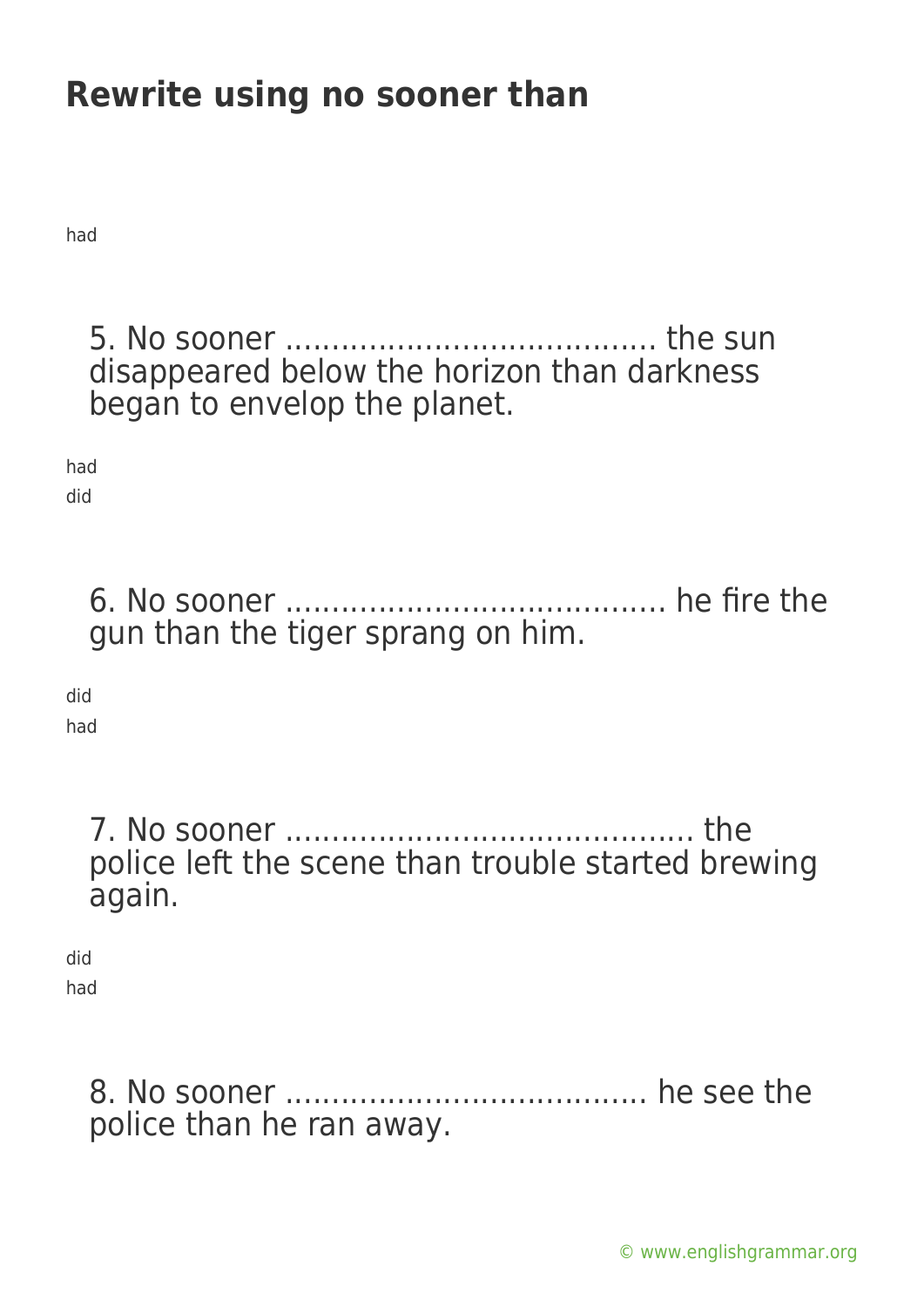# **Rewrite using no sooner than**

had

5. No sooner ........................................ the sun disappeared below the horizon than darkness began to envelop the planet.

had did

> 6. No sooner ......................................... he fire the gun than the tiger sprang on him.

did

had

7. No sooner ............................................ the police left the scene than trouble started brewing again.

did had

> 8. No sooner ....................................... he see the police than he ran away.